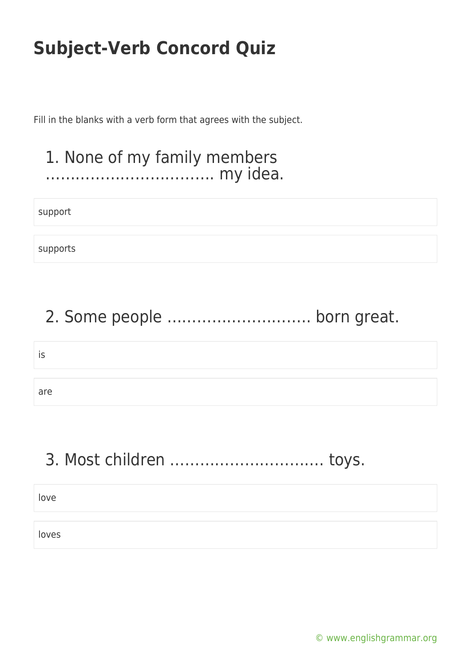Fill in the blanks with a verb form that agrees with the subject.

### 1. None of my family members ……………………………. my idea.

support

supports

## 2. Some people ……………………….. born great.

is

are

## 3. Most children …………………………. toys.

love

loves

[© www.englishgrammar.org](https://www.englishgrammar.org/)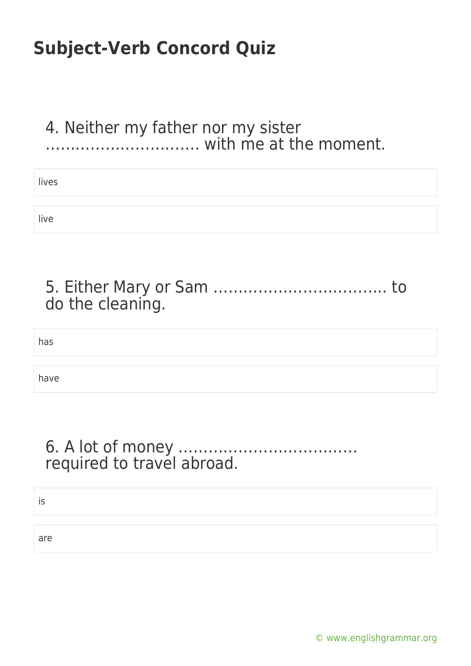### 4. Neither my father nor my sister …………………………. with me at the moment.

| lives |  |  |
|-------|--|--|
|       |  |  |
| live  |  |  |

| do the cleaning. |  |
|------------------|--|

has

have

### 6. A lot of money ……………………………… required to travel abroad.

is

are

[© www.englishgrammar.org](https://www.englishgrammar.org/)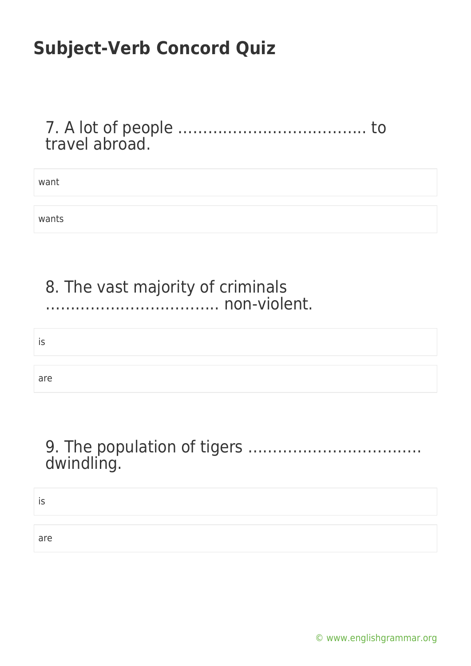7. A lot of people ……………………………….. to travel abroad.

| want  |  |  |  |
|-------|--|--|--|
|       |  |  |  |
| wants |  |  |  |

### 8. The vast majority of criminals …………………………….. non-violent.

# is are

## 9. The population of tigers …………………………….. dwindling.

#### is

are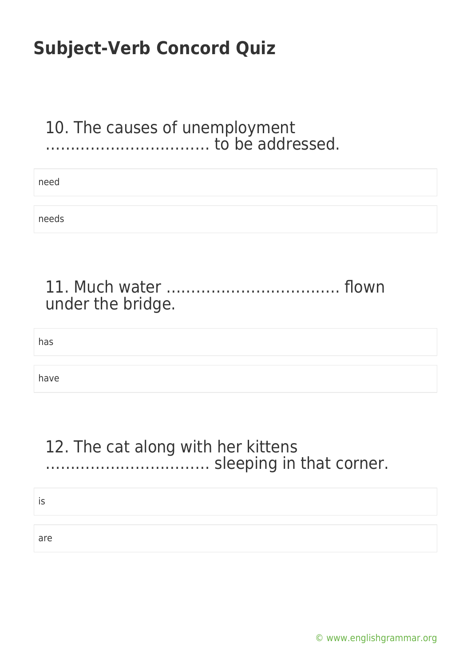### 10. The causes of unemployment …………………………… to be addressed.

| need  |  |
|-------|--|
|       |  |
| needs |  |

| under the bridge. |  |
|-------------------|--|

has

have

### 12. The cat along with her kittens …………………………… sleeping in that corner.

is

are

[© www.englishgrammar.org](https://www.englishgrammar.org/)